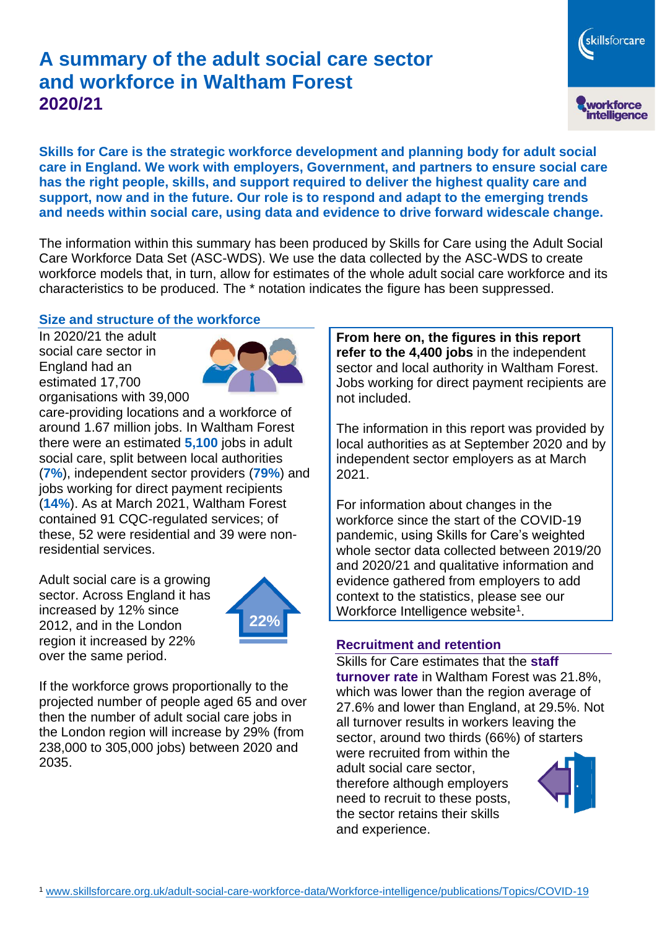# **A summary of the adult social care sector and workforce in Waltham Forest 2020/21**

skillsforcare workforce<br>intelligence

**Skills for Care is the strategic workforce development and planning body for adult social care in England. We work with employers, Government, and partners to ensure social care has the right people, skills, and support required to deliver the highest quality care and support, now and in the future. Our role is to respond and adapt to the emerging trends and needs within social care, using data and evidence to drive forward widescale change.**

The information within this summary has been produced by Skills for Care using the Adult Social Care Workforce Data Set (ASC-WDS). We use the data collected by the ASC-WDS to create workforce models that, in turn, allow for estimates of the whole adult social care workforce and its characteristics to be produced. The \* notation indicates the figure has been suppressed.

#### **Size and structure of the workforce**

In 2020/21 the adult social care sector in England had an estimated 17,700 organisations with 39,000



care-providing locations and a workforce of around 1.67 million jobs. In Waltham Forest there were an estimated **5,100** jobs in adult social care, split between local authorities (**7%**), independent sector providers (**79%**) and jobs working for direct payment recipients (**14%**). As at March 2021, Waltham Forest contained 91 CQC-regulated services; of these, 52 were residential and 39 were nonresidential services.

Adult social care is a growing sector. Across England it has increased by 12% since 2012, and in the London region it increased by 22% over the same period.



If the workforce grows proportionally to the projected number of people aged 65 and over then the number of adult social care jobs in the London region will increase by 29% (from 238,000 to 305,000 jobs) between 2020 and 2035.

**From here on, the figures in this report refer to the 4,400 jobs** in the independent sector and local authority in Waltham Forest. Jobs working for direct payment recipients are not included.

The information in this report was provided by local authorities as at September 2020 and by independent sector employers as at March 2021.

For information about changes in the workforce since the start of the COVID-19 pandemic, using Skills for Care's weighted whole sector data collected between 2019/20 and 2020/21 and qualitative information and evidence gathered from employers to add context to the statistics, please see our Workforce Intelligence website<sup>1</sup>.

#### **Recruitment and retention**

Skills for Care estimates that the **staff turnover rate** in Waltham Forest was 21.8%, which was lower than the region average of 27.6% and lower than England, at 29.5%. Not all turnover results in workers leaving the sector, around two thirds (66%) of starters were recruited from within the

adult social care sector, therefore although employers need to recruit to these posts, the sector retains their skills and experience.

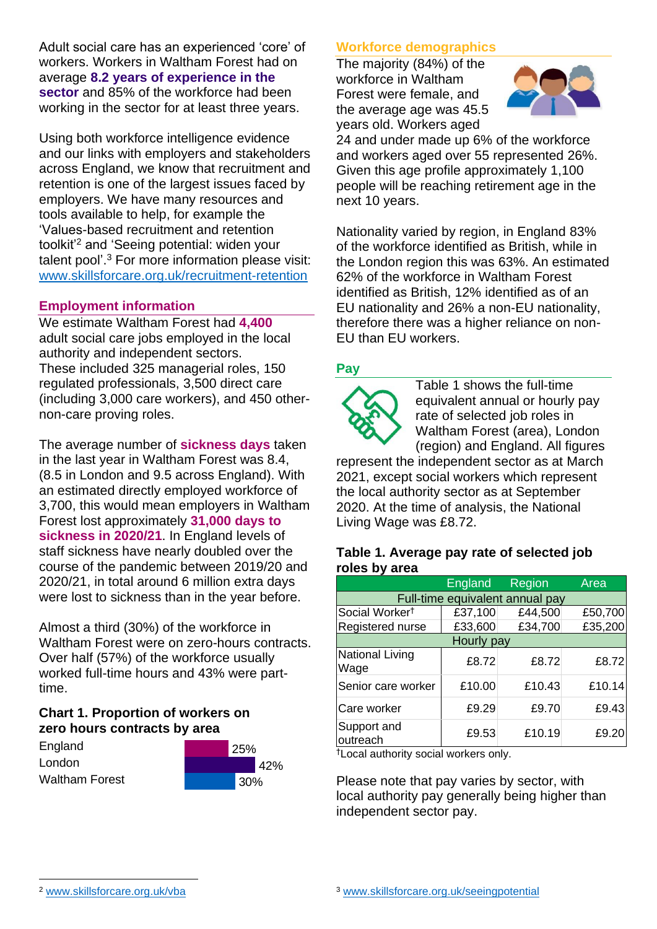Adult social care has an experienced 'core' of workers. Workers in Waltham Forest had on average **8.2 years of experience in the sector** and 85% of the workforce had been working in the sector for at least three years.

Using both workforce intelligence evidence and our links with employers and stakeholders across England, we know that recruitment and retention is one of the largest issues faced by employers. We have many resources and tools available to help, for example the 'Values-based recruitment and retention toolkit'<sup>2</sup> and 'Seeing potential: widen your talent pool'. <sup>3</sup> For more information please visit: [www.skillsforcare.org.uk/recruitment-retention](http://www.skillsforcare.org.uk/recruitment-retention)

#### **Employment information**

We estimate Waltham Forest had **4,400** adult social care jobs employed in the local authority and independent sectors. These included 325 managerial roles, 150 regulated professionals, 3,500 direct care (including 3,000 care workers), and 450 othernon-care proving roles.

The average number of **sickness days** taken in the last year in Waltham Forest was 8.4, (8.5 in London and 9.5 across England). With an estimated directly employed workforce of 3,700, this would mean employers in Waltham Forest lost approximately **31,000 days to sickness in 2020/21**. In England levels of staff sickness have nearly doubled over the course of the pandemic between 2019/20 and 2020/21, in total around 6 million extra days were lost to sickness than in the year before.

Almost a third (30%) of the workforce in Waltham Forest were on zero-hours contracts. Over half (57%) of the workforce usually worked full-time hours and 43% were parttime.

### **Chart 1. Proportion of workers on zero hours contracts by area**

| England               | 25% |        |     |
|-----------------------|-----|--------|-----|
| London                |     |        | 42% |
| <b>Waltham Forest</b> |     | $30\%$ |     |

### **Workforce demographics**

The majority (84%) of the workforce in Waltham Forest were female, and the average age was 45.5 years old. Workers aged



24 and under made up 6% of the workforce and workers aged over 55 represented 26%. Given this age profile approximately 1,100 people will be reaching retirement age in the next 10 years.

Nationality varied by region, in England 83% of the workforce identified as British, while in the London region this was 63%. An estimated 62% of the workforce in Waltham Forest identified as British, 12% identified as of an EU nationality and 26% a non-EU nationality, therefore there was a higher reliance on non-EU than EU workers.

### **Pay**



Table 1 shows the full-time equivalent annual or hourly pay rate of selected job roles in Waltham Forest (area), London (region) and England. All figures

represent the independent sector as at March 2021, except social workers which represent the local authority sector as at September 2020. At the time of analysis, the National Living Wage was £8.72.

#### **Table 1. Average pay rate of selected job roles by area**

|                                 | <b>England</b> | <b>Region</b> | Area    |  |  |
|---------------------------------|----------------|---------------|---------|--|--|
| Full-time equivalent annual pay |                |               |         |  |  |
| Social Worker <sup>t</sup>      | £37,100        | £44,500       | £50,700 |  |  |
| Registered nurse                | £33,600        | £34,700       | £35,200 |  |  |
| Hourly pay                      |                |               |         |  |  |
| <b>National Living</b><br>Wage  | £8.72          | £8.72         | £8.72   |  |  |
| Senior care worker              | £10.00         | £10.43        | £10.14  |  |  |
| Care worker                     | £9.29          | £9.70         | £9.43   |  |  |
| Support and<br>outreach         | £9.53          | £10.19        | £9.20   |  |  |

†Local authority social workers only.

Please note that pay varies by sector, with local authority pay generally being higher than independent sector pay.